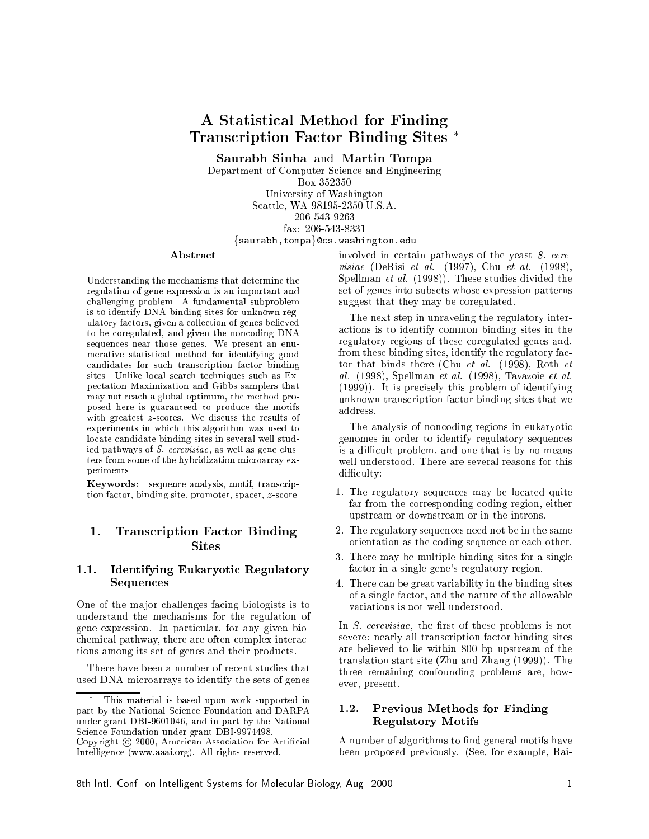# A Statisti
al Method for Finding Transcription Factor Binding Sites \*

Saurabh Sinha and Martin Tompa

Department of Computer Science and Engineering Box 352350 University of Washington Seattle, WA 98195-2350 U.S.A. 206-543-9263 fax: 206-543-8331 {saurabh,tompa}@cs.washington.edu

#### **Abstract**

Understanding the me
hanisms that determine the regulation of gene expression is an important and hallenging problem. A fundamental subproblem is to identify DNA-binding sites for unknown regulatory fa
tors, given a olle
tion of genes believed to be oregulated, and given the non
oding DNA sequen
es near those genes. We present an enumerative statisti
al method for identifying good candidates for such transcription factor binding sites. Unlike local search techniques such as Exsites. Unlike local search television in the local search of the control of the control of the control of the c pe
tation Maximization and Gibbs samplers that may not rea
h a global optimum, the method proposed here is guaranteed to produ
e the motifs with greatest *z*-scores. We discuss the results of experiments in which this algorithm was used to lo
ate andidate binding sites in several well studied pathways of S. cerevisiae, as well as gene clusters from some of the hybridization microarray experiments.

Keywords: sequen
e analysis, motif, trans
ription factor, binding site, promoter, spacer, z-score.

## 1. Transcription Factor Binding **Sites**

#### 1.1. Identifying Eukaryoti Regulatory **Sequences**

One of the major challenges facing biologists is to understand the me
hanisms for the regulation of gene expression. In parti
ular, for any given bio chemical pathway, there are often complex interactions among its set of genes and their produ
ts.

There have been a number of recent studies that used DNA mi
roarrays to identify the sets of genes involved in certain pathways of the yeast S. cerevisiae (DeRisi et al. (1997), Chu et al. (1998), Spellman et al. (1998)). These studies divided the set of genes into subsets whose expression patterns suggest that they may be coregulated.

The next step in unraveling the regulatory intera
tions is to identify ommon binding sites in the regulatory regions of these oregulated genes and, from these binding sites, identify the regulatory factor that binds there (Chu et al. (1998), Roth et al. (1998), Spellman et al. (1998), Tavazoie et al. (1999)). It is pre
isely this problem of identifying unknown transcription factor binding sites that we

The analysis of noncoding regions in eukaryotic genomes in order to identify regulatory sequen
es is a difficult problem, and one that is by no means well understood. There are several reasons for this difficulty:

- 1. The regulatory sequences may be located quite far from the orresponding oding region, either upstream or downstream or in the introns. upstream or downstream or in the introns.
- 2. The regulatory sequen
es need not be in the same orientation as the oding sequen
e or ea
h other.
- 3. There may be multiple binding sites for a single factor in a single gene's regulatory region.
- 4. There an be great variability in the binding sites of a single fa
tor, and the nature of the allowable variations is not well understood.

In *S. cerevisiae*, the first of these problems is not severe: nearly all transcription factor binding sites are believed to lie within 800 bp upstream of the translation start site (Zhu and Zhang (1999)). The three remaining onfounding problems are, however, present.

## 1.2. Previous Methods for Finding Regulatory Motifs

A number of algorithms to find general motifs have been proposed previously. (See, for example, Bai-

This material is based upon work supported in part by the National S
ien
e Foundation and DARPA under grant DBI-9601046, and in part by the National S
ien
e Foundation under grant DBI-9974498.

Copyright (c) 2000, American Association for Artificial Intelligen
e (www.aaai.org). All rights reserved.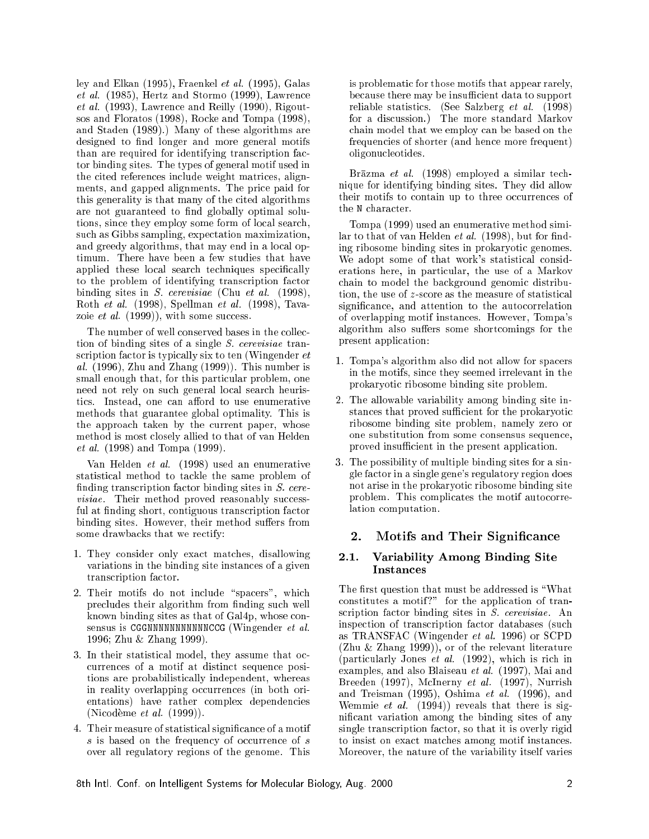ley and Elkan (1995), Fraenkel et al. (1995), Galas et al. (1985), Hertz and Stormo (1999), Lawren
e et al. (1993), Lawren
e and Reilly (1990), Rigoutsos and Floratos (1998), Ro
ke and Tompa (1998), and Staden (1989).) Many of these algorithms are designed to find longer and more general motifs than are required for identifying transcription factor binding sites. The types of general motif used in the cited references include weight matrices, alignments, and gapped alignments. The pri
e paid for this generality is that many of the cited algorithms are not guaranteed to find globally optimal solutions, sin
e they employ some form of lo
al sear
h, su
h as Gibbs sampling, expe
tation maximization, and greedy algorithms, that may end in a local optimum. There have been a few studies that have applied these local search techniques specifically to the problem of identifying trans
ription fa
tor binding sites in *S. cerevisiae* (Chu et al. (1998), Roth et al. (1998), Spellman et al. (1998), Tavazoie *et al.*  $(1999)$ , with some success.

The number of well conserved bases in the collection of binding sites of a single S. erevisiae transcription factor is typically six to ten (Wingender et al.  $(1996)$ , Zhu and Zhang  $(1999)$ ). This number is small enough that, for this particular problem, one need not rely on su
h general lo
al sear
h heuristics. Instead, one can afford to use enumerative methods that guarantee global optimality. This is the approach taken by the current paper, whose method is most closely allied to that of van Helden et al. (1998) and Tompa (1999).

Van Helden et al. (1998) used an enumerative statistical method to tackle the same problem of finding transcription factor binding sites in  $S.$  cerevisiae. Their method proved reasonably successful at finding short, contiguous transcription factor binding sites. However, their method suffers from some drawbacks that we rectify:

- 1. They onsider only exa
t mat
hes, disallowing variations in the binding site instan
es of a given transcription factor.
- 2. Their motifs do not include "spacers", which precludes their algorithm from finding such well known binding sites as that of Gal4p, whose onsensus is CGGNNNNNNNNNNNNCCG (Wingender et al. 1996; Zhu & Zhang 1999).
- 3. In their statistical model, they assume that ocurren
es of a motif at distin
t sequen
e positions are probabilisti
ally independent, whereas in reality overlapping occurrences (in both orientations) have rather omplex dependen
ies (Ni
odeme et al. (1999)).
- 4. Their measure of statistical significance of a motif  $s$  is based on the frequency of occurrence of  $s$ over all regulatory regions of the genome. This

is problemati for those motifs that appear rarely, because there may be insufficient data to support reliable statisti
s. (See Salzberg et al. (1998) for a discussion.) The more standard Markov hain model that we employ an be based on the frequen
ies of shorter (and hen
e more frequent) oligonu
leotides.

Brāzma et al. (1998) employed a similar technique for identifying binding sites. They did allow their motifs to contain up to three occurrences of the N character.

Tompa (1999) used an enumerative method similar to that of van Helden  $et$  al. (1998), but for finding ribosome binding sites in prokaryoti genomes. We adopt some of that work's statistical considerations here, in particular, the use of a Markov hain to model the ba
kground genomi distribution, the use of z-score as the measure of statistical significance, and attention to the autocorrelation of overlapping motif instan
es. However, Tompa's algorithm also suffers some shortcomings for the present appli
ation:

- 1. Tompa's algorithm also did not allow for spa
ers in the motifs, sin
e they seemed irrelevant in the prokaryotic ribosome binding site problem.
- 2. The allowable variability among binding site instances that proved sufficient for the prokaryotic ribosome binding site problem, namely zero or one substitution from some onsensus sequen
e, proved insufficient in the present application.
- 3. The possibility of multiple binding sites for a single fa
tor in a single gene's regulatory region does not arise in the prokaryotic ribosome binding site problem. This complicates the motif autocorrelation omputation.

## 2. Motifs and Their Significance

## 2.1. Variability Among Binding Site Instan
es

The first question that must be addressed is "What constitutes a motif?" for the application of transcription factor binding sites in S. cerevisiae. An inspe
tion of trans
ription fa
tor databases (su
h as TRANSFAC (Wingender et al. 1996) or SCPD (Zhu & Zhang 1999)), or of the relevant literature (particularly Jones *et al.*  $(1992)$ , which is rich in examples, and also Blaiseau et al. (1997), Mai and Breeden (1997), M
Inerny et al. (1997), Nurrish and Treisman (1995), Oshima et al. (1996), and Wemmie et al. (1994)) reveals that there is signi
ant variation among the binding sites of any single transcription factor, so that it is overly rigid to insist on exact matches among motif instances. Moreover, the nature of the variability itself varies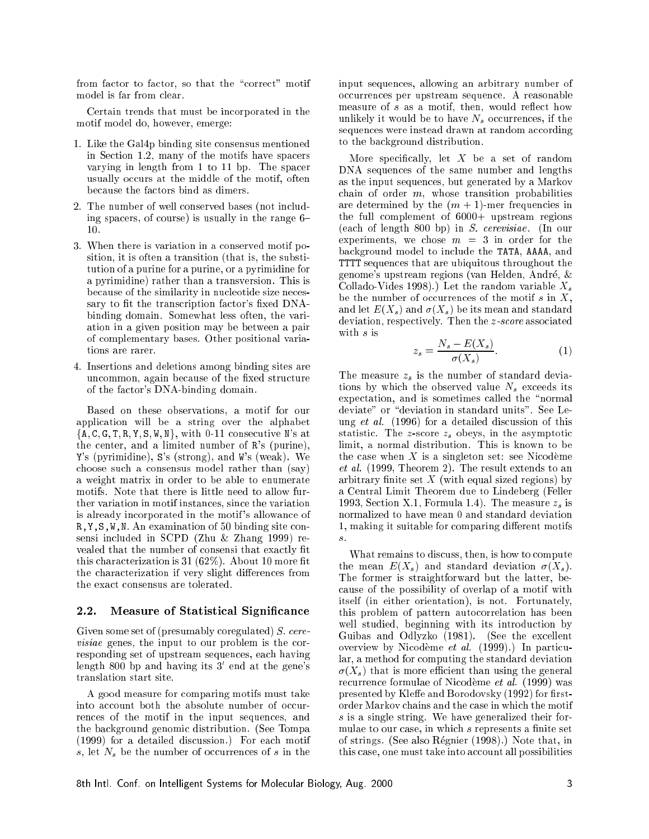from factor to factor, so that the "correct" motif model is far from lear.

Certain trends that must be in
orporated in the motif model do, however, emerge:

- 1. Like the Gal4p binding site onsensus mentioned in Section 1.2, many of the motifs have spacers varying in length from 1 to 11 bp. The spa
er usually occurs at the middle of the motif, often be
ause the fa
tors bind as dimers.
- 2. The number of well onserved bases (not in
luding spacers, of course) is usually in the range  $6-$ 10.
- 3. When there is variation in a onserved motif position, it is often a transition (that is, the substitution of a purine for a purine, or a pyrimidine for a pyrimidine) rather than a transversion. This is be
ause of the similarity in nu
leotide size ne
essary to fit the transcription factor's fixed DNAbinding domain. Somewhat less often, the variation in a given position may be between a pair of omplementary bases. Other positional variations are rarer.
- 4. Insertions and deletions among binding sites are uncommon, again because of the fixed structure of the fa
tor's DNA-binding domain.

Based on these observations, a motif for our application will be a string over the alphabet  $\{A, C, G, T, R, Y, S, W, N\}$ , with 0-11 consecutive N's at the enter, and a limited number of R's (purine), Y's (pyrimidine), S's (strong), and W's (weak). We hoose su
h a onsensus model rather than (say) a weight matrix in order to be able to enumerate motifs. Note that there is little need to allow further variation in motif instan
es, sin
e the variation is already in
orporated in the motif 's allowan
e of R, Y, S, W, N. An examination of 50 binding site consensi in
luded in SCPD (Zhu & Zhang 1999) revealed that the number of consensi that exactly fit this characterization is  $31(62%)$ . About 10 more fit the characterization if very slight differences from the exact consensus are tolerated.

#### 2.2. Measure of Statistical Significance

Given some set of (presumably coregulated) S. cere*visiae* genes, the input to our problem is the corresponding set of upstream sequences, each having length 800 bp and having its 3' end at the gene's translation start site.

A good measure for omparing motifs must take into account both the absolute number of occurren
es of the motif in the input sequen
es, and the ba
kground genomi distribution. (See Tompa (1999) for a detailed dis
ussion.) For ea
h motif  $s$ , let  $N_s$  be the number of occurrences of  $s$  in the

input sequen
es, allowing an arbitrary number of o

urren
es per upstream sequen
e. A reasonable measure of  $s$  as a motif, then, would reflect how unlikely it would be to have  $N_s$  occurrences, if the sequences were instead drawn at random according to the ba
kground distribution.

More specifically, let  $X$  be a set of random DNA sequences of the same number and lengths as the input sequen
es, but generated by a Markov chain of order  $m$ , whose transition probabilities are determined by the  $(m + 1)$ -mer frequencies in the full complement of  $6000+$  upstream regions (ea
h of length 800 bp) in S. erevisiae. (In our experiments, we chose  $m = 3$  in order for the ba
kground model to in
lude the TATA, AAAA, and TTTT sequen
es that are ubiquitous throughout the genome's upstream regions (van Helden, Andre, & Collado-Vides 1998).) Let the random variable  $X_s$ be the number of occurrences of the motif  $s$  in  $X$ . and let  $E(X_s)$  and  $\sigma(X_s)$  be its mean and standard deviation, respectively. Then the *z*-score associated with s is

$$
z_s = \frac{N_s - E(X_s)}{\sigma(X_s)}.\tag{1}
$$

The measure  $z_s$  is the number of standard deviations by which the observed value  $N_s$  exceeds its expectation, and is sometimes called the "normal deviate" or "deviation in standard units". See Leung *et al.* (1996) for a detailed discussion of this statistic. The *z*-score  $z<sub>s</sub>$  obeys, in the asymptotic limit, a normal distribution. This is known to be the case when  $X$  is a singleton set: see Nicodème et al. (1999, Theorem 2). The result extends to an arbitrary finite set  $X$  (with equal sized regions) by a Central Limit Theorem due to Lindeberg (Feller 1993, Section X.1, Formula 1.4). The measure  $z<sub>s</sub>$  is normalized to have mean 0 and standard deviation 1, making it suitable for comparing different motifs s.

What remains to discuss, then, is how to compute the mean  $E(X_s)$  and standard deviation  $\sigma(X_s)$ . The former is straightforward but the latter, be ause of the possibility of overlap of a motif with itself (in either orientation), is not. Fortunately, this problem of pattern auto
orrelation has been well studied, beginning with its introduction by Guibas and Odlyzko (1981). (See the ex
ellent overview by Nicodème et al. (1999).) In particular, a method for omputing the standard deviation  $\sigma(X_s)$  that is more efficient than using the general recurrence formulae of Nicodème et al. (1999) was presented by Kleffe and Borodovsky (1992) for firstorder Markov 
hains and the ase in whi
h the motif s is a single string. We have generalized their formulae to our case, in which s represents a finite set of strings. (See also Regnier (1998).) Note that, in this case, one must take into account all possibilities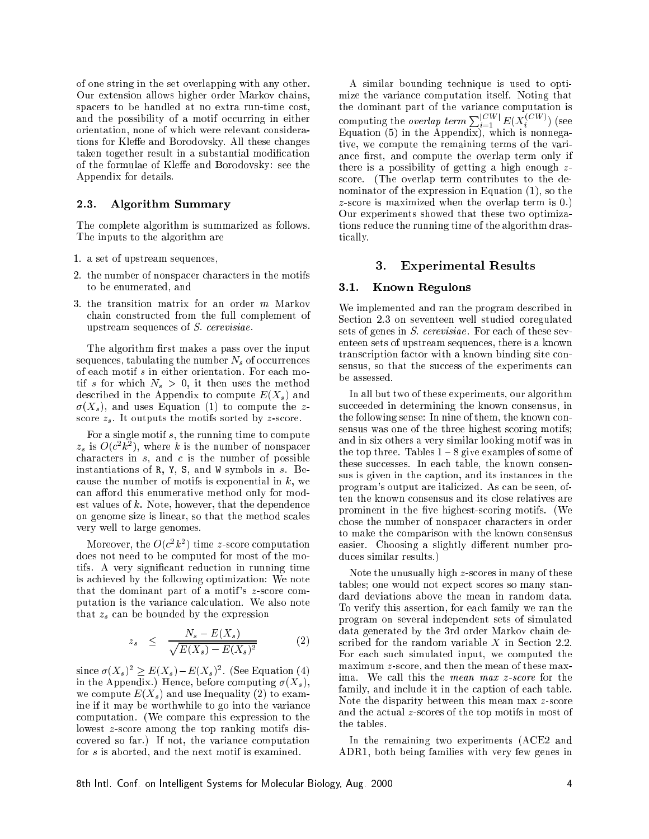of one string in the set overlapping with any other. Our extension allows higher order Markov hains, spacers to be handled at no extra run-time cost, and the possibility of a motif occurring in either orientation, none of whi
h were relevant onsiderations for Kleffe and Borodovsky. All these changes taken together result in a substantial modification of the formulae of Kleffe and Borodovsky: see the Appendix for details.

#### 2.3. Algorithm Summary

The omplete algorithm is summarized as follows. The inputs to the algorithm are

- 1. a set of upstream sequen
es,
- 2. the number of nonspacer characters in the motifs to be enumerated, and
- 3. the transition matrix for an order m Markov hain onstru
ted from the full omplement of upstream sequen
es of S. erevisiae.

The algorithm first makes a pass over the input sequences, tabulating the number  $N_s$  of occurrences of ea
h motif s in either orientation. For ea
h motif s for which  $N_s > 0$ , it then uses the method described in the Appendix to compute  $E(X_s)$  and  $\sigma(X_s)$ , and uses Equation (1) to compute the zscore  $z_s$ . It outputs the motifs sorted by z-score.

For a single motif  $s$ , the running time to compute  $z_s$  is  $O(c^2k^2)$ , where k is the number of nonspacer characters in  $s$ , and  $c$  is the number of possible instantiations of R, Y, S, and W symbols in  $s$ . Because the number of motifs is exponential in  $k$ , we can afford this enumerative method only for modest values of  $k$ . Note, however, that the dependence on genome size is linear, so that the method s
ales very well to large genomes.

Moreover, the  $O(c^2k^2)$  time z-score computation does not need to be omputed for most of the motifs. A very significant reduction in running time is a
hieved by the following optimization: We note that the dominant part of a motif's z-score computation is the variance calculation. We also note that  $z_s$  can be bounded by the expression

$$
z_s \leq \frac{N_s - E(X_s)}{\sqrt{E(X_s) - E(X_s)^2}} \tag{2}
$$

since  $\sigma(X_s)^2 \geq E(X_s) - E(X_s)^2$ . (See Equation (4) in the Appendix.) Hence, before computing  $\sigma(X_s)$ , we compute  $E(X_s)$  and use Inequality (2) to examine if it may be worthwhile to go into the varian
e omputation. (We ompare this expression to the lowest *z*-score among the top ranking motifs disovered so far.) If not, the varian
e omputation for s is aborted, and the next motif is examined.

A similar bounding te
hnique is used to optimize the varian
e omputation itself. Noting that the dominant part of the varian
e omputation is computing the *overlap term*  $\sum_{i=1}^{\lfloor C W \rfloor} E(X_i^{(C W)})$  (see Equation (5) in the Appendix), whi
h is nonnegative, we ompute the remaining terms of the variance first, and compute the overlap term only if there is a possibility of getting a high enough  $z$ score. (The overlap term contributes to the denominator of the expression in Equation (1), so the z-s
ore is maximized when the overlap term is 0.) Our experiments showed that these two optimizations redu
e the running time of the algorithm drasti
ally.

#### 3. Experimental Results

#### 3.1. Known Regulons

We implemented and ran the program described in Section 2.3 on seventeen well studied coregulated sets of genes in *S. cerevisiae*. For each of these seventeen sets of upstream sequen
es, there is a known transcription factor with a known binding site consensus, so that the success of the experiments can be assessed.

In all but two of these experiments, our algorithm succeeded in determining the known consensus, in the following sense: In nine of them, the known consensus was one of the three highest s
oring motifs; and in six others a very similar looking motif was in the top three. Tables  $1 - 8$  give examples of some of these successes. In each table, the known consensus is given in the aption, and its instan
es in the program's output are itali
ized. As an be seen, often the known onsensus and its lose relatives are prominent in the five highest-scoring motifs. (We chose the number of nonspacer characters in order to make the omparison with the known onsensus easier. Choosing a slightly different number produ
es similar results.)

Note the unusually high z-s
ores in many of these tables; one would not expe
t s
ores so many standard deviations above the mean in random data. To verify this assertion, for ea
h family we ran the program on several independent sets of simulated data generated by the 3rd order Markov hain described for the random variable  $X$  in Section 2.2. For each such simulated input, we computed the maximum z-score, and then the mean of these maxima. We call this the *mean max z-score* for the family, and include it in the caption of each table. Note the disparity between this mean max z-score and the a
tual z-s
ores of the top motifs in most of the tables.

In the remaining two experiments (ACE2 and ADR1, both being families with very few genes in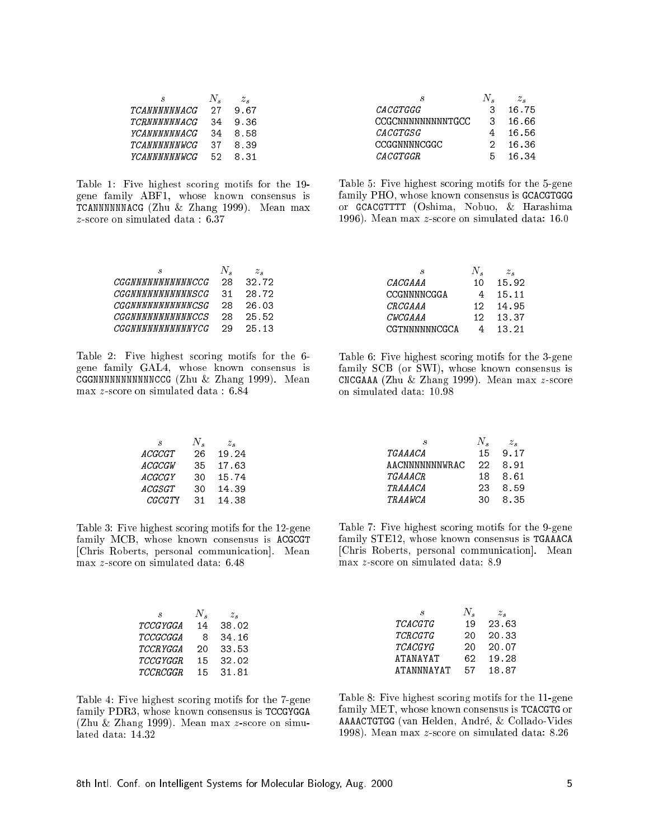| я                   | N. | $z$ . |
|---------------------|----|-------|
| TCANNNNNNACG        | 27 | 9.67  |
| TCRNNNNNNACG        | 34 | 9.36  |
| YCANNNNNNACG        | 34 | 8.58  |
| <b>TCANNNNNNWCG</b> | 37 | 8.39  |
| <b>YCANNNNNNWCG</b> | 52 | 831   |

Table 1: Five highest s
oring motifs for the 19 gene family ABF1, whose known onsensus is TCANNNNN NACH  $\overline{z}$  and  $\overline{z}$  and  $\overline{z}$  and  $\overline{z}$  and  $\overline{z}$  and  $\overline{z}$  and  $\overline{z}$  and  $\overline{z}$  and  $\overline{z}$  and  $\overline{z}$  and  $\overline{z}$  and  $\overline{z}$  and  $\overline{z}$  and  $\overline{z}$  and  $\overline{z}$  and  $\overline{z}$  and z-s
ore on simulated data : 6.37

|                   |   | $z_{\mathcal{\triangle}}$ |
|-------------------|---|---------------------------|
| $\it CACGTGG$     | З | 16.75                     |
| CCGCNNNNNNNNNTGCC | 3 | 16.66                     |
| $\it CACGTGSG$    | 4 | 16.56                     |
| CCGGNNNNCGGC      | 2 | 16.36                     |
| CACGTGGR          | Б | 16.34                     |

Table 5: Five highest s
oring motifs for the 5-gene family PHO, whose known consensus is GCACGTGGG or GCACGTTTT (Oshima, Nobuo, & Harashima 1996). Mean max z-s
ore on simulated data: 16.0

| я                        | $N\cdot$ | $z_{\circ}$ |
|--------------------------|----------|-------------|
| <i>CGGNNNNNNNNNNNCCG</i> | 28       | 32.72       |
| CGGNNNNNNNNNNNSCG        | 31       | 28.72       |
| CGGNNNNNNNNNNNCSG        | 28       | 26.03       |
| CGGNNNNNNNNNNNCCS        | 28       | 25.52       |
| <i>CGGNNNNNNNNNNNYCG</i> | 29       | 25 13       |

Table 2: Five highest s
oring motifs for the 6 gene family GAL4, whose known onsensus is CGGNNNNNNNNNNNCCG (Zhu & Zhang 1999). Mean max z-s
ore on simulated data : 6.84

| S              | N. | $z_{\bullet}$ |
|----------------|----|---------------|
| ACGCGT         | 26 | 19.24         |
| A CGC GW       | 35 | 17.63         |
| <i>ACGCGY</i>  | 30 | 15.74         |
| ACGSGT         | 30 | 14.39         |
| <i>CGCGT</i> Y | 31 | 14.38         |

Table 3: Five highest s
oring motifs for the 12-gene family MCB, whose known consensus is ACGCGT [Chris Roberts, personal communication]. Mean max z-s
ore on simulated data: 6.48

| .S       | N. | $z$ . |
|----------|----|-------|
| TCCGYGGA | 14 | 38.02 |
| TCCGCGGA | 8  | 34.16 |
| TCCRYGGA | 20 | 33.53 |
| TCCGYGGR | 15 | 32.02 |
| TCCRCGGR | 15 | 31.81 |
|          |    |       |

Table 4: Five highest s
oring motifs for the 7-gene family PDR3, whose known consensus is TCCGYGGA (Zhu & Zhang 1999). Mean max z-s
ore on simulated data: 14.32

| .S             | N. | $z_{\bullet}$ |
|----------------|----|---------------|
| CACGAAA        | 10 | 15.92         |
| CCGNNNNCGGA    | 4  | 15.11         |
| <i>CRCGAAA</i> | 12 | 14.95         |
| <i>CWCGAAA</i> | 12 | 13.37         |
| CGTNNNNNNCGCA  | Δ  | 13 21         |

Table 6: Five highest s
oring motifs for the 3-gene family SCB (or SWI), whose known onsensus is CNCGAAA (Zhu & Zhang 1999). Mean max z-s
ore on simulated data: 10.98

|                | N.  | $z_{\rm c}$ |
|----------------|-----|-------------|
| TGAAA CA       | 15  | 9.17        |
| AACNNNNNNNWRAC | クク  | 8.91        |
| TGAAA CR       | 18. | 8.61        |
| TRA A A CA     | 23  | 8.59        |
| TRAAWCA        | 30. | 8.35        |

Table 7: Five highest s
oring motifs for the 9-gene family STE12, whose known onsensus is TGAAACA [Chris Roberts, personal communication]. Mean max z-s
ore on simulated data: 8.9

| 23.63 |
|-------|
| 20.33 |
| 20.07 |
| 19.28 |
| 18.87 |
|       |

Table 8: Five highest s
oring motifs for the 11-gene family MET, whose known onsensus is TCACGTG or AAAACTGTGG (van Helden, Andre, & Collado-Vides 1998). Mean max z-s
ore on simulated data: 8.26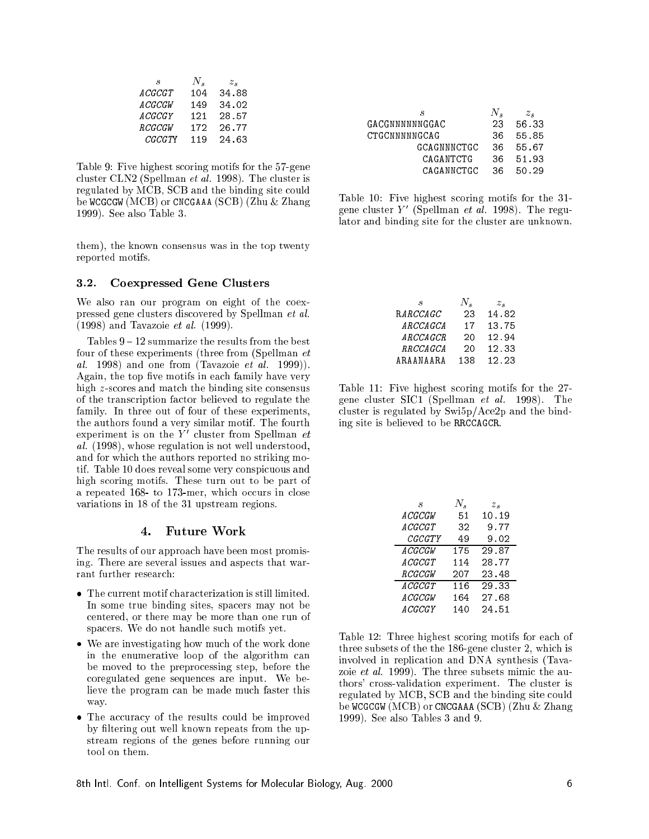| .S             | N.  | $z_{\bullet}$ |
|----------------|-----|---------------|
| A CGCGT        | 104 | 34.88         |
| A CGCGW        | 149 | 34.02         |
| A CGCGY        | 121 | 28.57         |
| <b>RCGCGW</b>  | 172 | 26.77         |
| <i>CGCGT</i> Y | 119 | 24.63         |

Table 9: Five highest s
oring motifs for the 57-gene cluster CLN2 (Spellman *et al.* 1998). The cluster is regulated by MCB, SCB and the binding site could be WCGCGW (MCB) or CNCGAAA (SCB) (Zhu & Zhang 1999). See also Table 3.

them), the known onsensus was in the top twenty reported motifs.

### 3.2. Coexpressed Gene Clusters

We also ran our program on eight of the coexpressed gene lusters dis
overed by Spellman et al. (1998) and Tavazoie et al. (1999).

Tables  $9 - 12$  summarize the results from the best four of these experiments (three from (Spellman et al. 1998) and one from (Tavazoie et al. 1999)). Again, the top five motifs in each family have very high z-s
ores and mat
h the binding site onsensus of the trans
ription fa
tor believed to regulate the family. In three out of four of these experiments, the authors found a very similar motif. The fourth experiment is on the  $Y'$  cluster from Spellman  $et$ al. (1998), whose regulation is not well understood, and for whi
h the authors reported no striking motif. Table 10 does reveal some very conspicuous and high s
oring motifs. These turn out to be part of a repeated 168 to 173-mer, which occurs in close variations in 18 of the 31 upstream regions.

#### 4. Future Work

The results of our approa
h have been most promising. There are several issues and aspe
ts that warrant further research:

- The urrent motif hara
terization is still limited. In some true binding sites, spa
ers may not be entered, or there may be more than one run of spa
ers. We do not handle su
h motifs yet.
- We are investigating how mu
h of the work done in the enumerative loop of the algorithm can be moved to the prepro
essing step, before the oregulated gene sequen
es are input. We believe the program can be made much faster this way. way. We have a set of the set of the set of the set of the set of the set of the set of the set of the set of the set of the set of the set of the set of the set of the set of the set of the set of the set of the set of th
- The accuracy of the results could be improved by filtering out well known repeats from the upstream regions of the genes before running our tool on them.

| Я              | N.  | $z_{\bullet}$ |
|----------------|-----|---------------|
| GACGNNNNNNGGAC | 23  | 56.33         |
| CTGCNNNNNGCAG  | 36  | 55.85         |
| GCAGNNNCTGC    | 36  | 55.67         |
| CAGANTCTG      | 36. | 51.93         |
| CAGANNCTGC     | 36. | 50 29         |

Table 10: Five highest s
oring motifs for the 31 gene cluster Y' (Spellman *et al.* 1998). The regulator and binding site for the luster are unknown.

| .S        | N.  | $z_{\mathcal{\triangle}}$ |
|-----------|-----|---------------------------|
| RARCCAGC  | 23  | 14.82                     |
| ARCCAGCA  | 17  | 13.75                     |
| ARCCAGCR  | 20  | 12.94                     |
| RRCCAGCA  | 20  | 12.33                     |
| ARAANAARA | 138 | 12.23                     |

Table 11: Five highest s
oring motifs for the 27 gene luster SIC1 (Spellman et al. 1998). The cluster is regulated by  $\frac{\text{Swi5p}}{\text{Ace2p}}$  and the binding site is believed to be RRCCAGCR.

| S.            | N.  | $z_{s}$ |
|---------------|-----|---------|
| A CGCGW       | 51  | 10.19   |
| ACGCGT        | 32  | 9.77    |
| <i>CGCGTY</i> | 49  | 9.02    |
| A CGCGW       | 175 | 29.87   |
| ACGCGT        | 114 | 28.77   |
| RCGCGW        | 207 | 23.48   |
| ACGCGT        | 116 | 29.33   |
| A CGCGW       | 164 | 27.68   |
| A CGCGY       | 140 | 24.51   |

Table 12: Three highest scoring motifs for each of three subsets of the the 186-gene luster 2, whi
h is involved in replication and DNA synthesis (Tavazoie *et al.* 1999). The three subsets mimic the authors' cross-validation experiment. The cluster is regulated by MCB, SCB and the binding site could be WCGCGW (MCB) or CNCGAAA (SCB) (Zhu & Zhang 1999). See also Tables 3 and 9.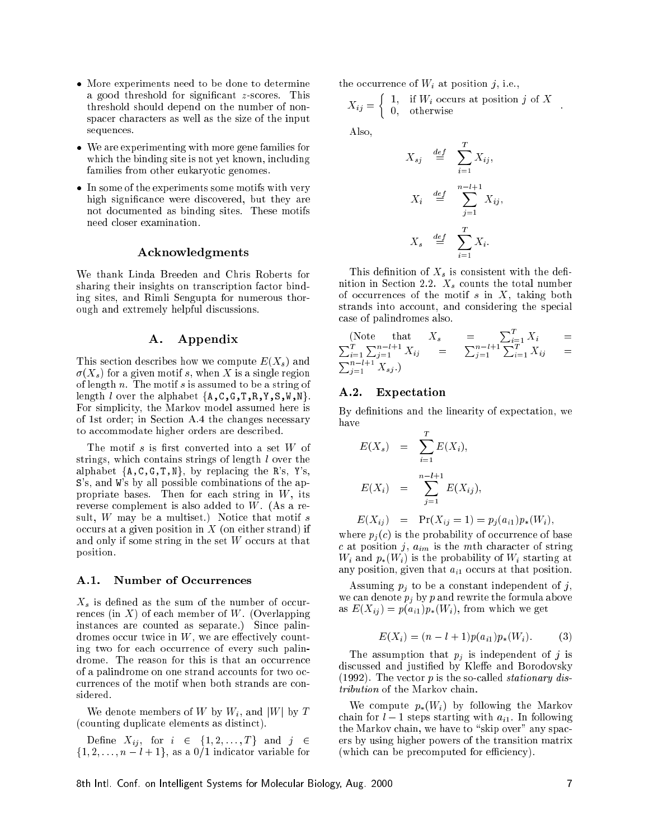- More experiments need to be done to determine a good threshold for significant  $z$ -scores. This threshold should depend on the number of nonspacer characters as well as the size of the input sequen
es.
- We are experimenting with more gene families for which the binding site is not yet known, including families from other eukaryoti genomes.
- In some of the experiments some motifs with very high significance were discovered, but they are not do
umented as binding sites. These motifs need loser examination.

#### A
knowledgments

We thank Linda Breeden and Chris Roberts for sharing their insights on transcription factor binding sites, and Rimli Sengupta for numerous thorough and extremely helpful dis
ussions.

## A. Appendix

This section describes how we compute  $E(X_s)$  and  $\sigma(X_s)$  for a given motif s, when X is a single region of length  $n$ . The motif  $s$  is assumed to be a string of length  $l$  over the alphabet  $\{A, C, G, T, R, Y, S, W, N\}$ . For simplicity, the Markov model assumed here is of 1st order; in Section A.4 the changes necessary to accommodate higher orders are described.

The motif  $s$  is first converted into a set  $W$  of strings, which contains strings of length  $l$  over the alphabet  $\{A, C, G, T, N\}$ , by replacing the R's, Y's, S's, and W's by all possible ombinations of the appropriate bases. Then for each string in  $W$ , its reverse omplement is also added to W. (As a result,  $W$  may be a multiset.) Notice that motif  $s$ occurs at a given position in  $X$  (on either strand) if and only if some string in the set  $W$  occurs at that position.

#### A.1. Number of Occurrences

 $X_s$  is defined as the sum of the number of occurrences (in  $X$ ) of each member of W. (Overlapping instan
es are ounted as separate.) Sin
e palindromes occur twice in  $W$ , we are effectively counting two for each occurrence of every such palindrome. The reason for this is that an occurrence of a palindrome on one strand accounts for two ocurren
es of the motif when both strands are onsidered.

We denote members of W by  $W_i$ , and  $|W|$  by T (
ounting dupli
ate elements as distin
t).

Define  $X_{ij}$ , for  $i \in \{1, 2, \ldots, T\}$  and  $j \in$  $\{1, 2, \ldots, n-l+1\}$ , as a  $0/1$  indicator variable for the occurrence of  $W_i$  at position j, i.e.,

$$
X_{ij} = \left\{ \begin{array}{ll} 1, & \text{if } W_i \text{ occurs at position } j \text{ of } X \\ 0, & \text{otherwise} \end{array} \right. .
$$

Also,

$$
X_{sj} \stackrel{def}{=} \sum_{i=1}^{T} X_{ij},
$$
  

$$
X_i \stackrel{def}{=} \sum_{j=1}^{n-l+1} X_{ij},
$$
  

$$
X_s \stackrel{def}{=} \sum_{i=1}^{T} X_i.
$$

This definition of  $X_s$  is consistent with the definition in Section 2.2.  $X_s$  counts the total number of occurrences of the motif  $s$  in  $X$ , taking both strands into account, and considering the special ase of palindromes also.

(Note that 
$$
X_s
$$
 =  $\sum_{i=1}^{T} X_i$  =  $\sum_{i=1}^{T} \sum_{j=1}^{n-l+1} X_{ij}$  =  $\sum_{j=1}^{n-l+1} \sum_{i=1}^{T} X_{ij}$  =  $\sum_{j=1}^{n-l+1} X_{sj}$ .)

#### $A.2.$ **Expectation**

By definitions and the linearity of expectation, we

$$
E(X_s) = \sum_{i=1}^{T} E(X_i),
$$
  

$$
E(X_i) = \sum_{j=1}^{n-l+1} E(X_{ij}),
$$

$$
E(X_{ij}) = \Pr(X_{ij} = 1) = p_j(a_{i1})p_*(W_i),
$$

where  $p_i(c)$  is the probability of occurrence of base c at position j,  $a_{im}$  is the mth character of string  $W_i$  and  $p_*(W_i)$  is the probability of  $W_i$  starting at any position, given that  $a_{i1}$  occurs at that position.

Assuming  $p_j$  to be a constant independent of j, we can denote  $p_i$  by p and rewrite the formula above as  $E(X_{ij}) = p(a_{i1})p_*(W_i)$ , from which we get

$$
E(X_i) = (n - l + 1)p(a_{i1})p_*(W_i).
$$
 (3)

The assumption that  $p_j$  is independent of j is discussed and justified by Kleffe and Borodovsky (1992). The vector  $p$  is the so-called *stationary dis*tribution of the Markov hain.

We compute  $p_*(W_i)$  by following the Markov chain for  $l-1$  steps starting with  $a_{i1}$ . In following the Markov chain, we have to "skip over" any spacers by using higher powers of the transition matrix (which can be precomputed for efficiency).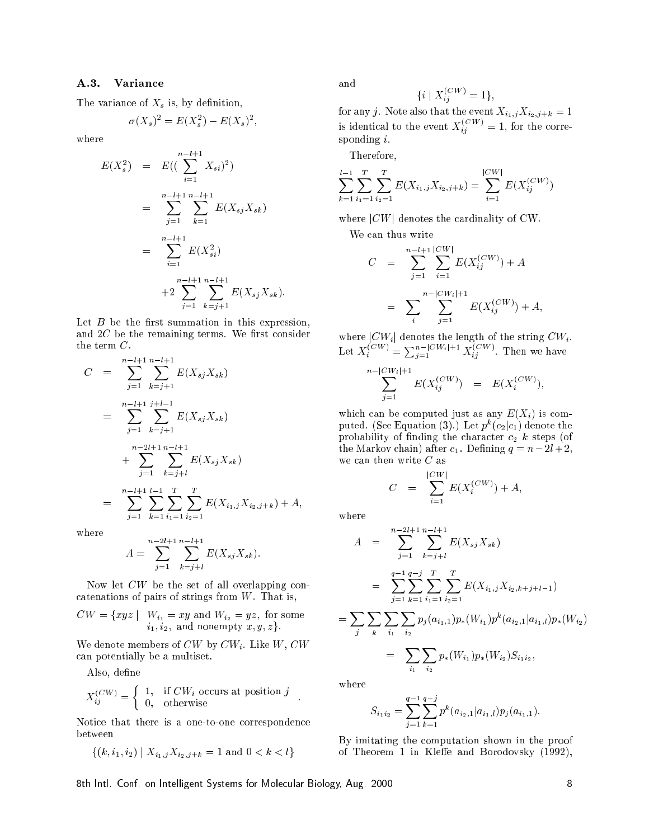### A.3. Varian
e

The variance of  $X_s$  is, by definition,

$$
\sigma(X_s)^2 = E(X_s^2) - E(X_s)^2,
$$

where

$$
E(X_s^2) = E((\sum_{i=1}^{n-l+1} X_{si})^2)
$$
  
= 
$$
\sum_{j=1}^{n-l+1} \sum_{k=1}^{n-l+1} E(X_{sj} X_{sk})
$$
  
= 
$$
\sum_{i=1}^{n-l+1} E(X_{si}^2)
$$
  
+2 
$$
\sum_{j=1}^{n-l+1} \sum_{k=j+1}^{n-l+1} E(X_{sj} X_{sk}).
$$

Let  $B$  be the first summation in this expression, and  $2C$  be the remaining terms. We first consider the term C.

$$
C = \sum_{j=1}^{n-l+1} \sum_{k=j+1}^{n-l+1} E(X_{sj}X_{sk})
$$
  
\n
$$
= \sum_{j=1}^{n-l+1} \sum_{k=j+1}^{j+l-1} E(X_{sj}X_{sk})
$$
  
\n
$$
+ \sum_{j=1}^{n-2l+1} \sum_{k=j+l}^{n-l+1} E(X_{sj}X_{sk})
$$
  
\n
$$
= \sum_{j=1}^{n-l+1} \sum_{k=1}^{l-1} \sum_{i_1=1}^{T} \sum_{i_2=1}^{T} E(X_{i_1,j}X_{i_2,j+k}) + A,
$$

where

$$
A = \sum_{j=1}^{n-2l+1} \sum_{k=j+l}^{n-l+1} E(X_{sj} X_{sk}).
$$

Now let  $CW$  be the set of all overlapping concatenations of pairs of strings from  $W$ . That is,

$$
CW = \{xyz \mid W_{i_1} = xy \text{ and } W_{i_2} = yz, \text{ for some } i_1, i_2, \text{ and nonempty } x, y, z\}.
$$

We denote members of  $CW$  by  $CW_i$ . Like  $W, CW$ an potentially be a multiset.

Also, define

$$
X_{ij}^{(CW)} = \left\{ \begin{array}{ll} 1, & \text{if } CW_i \text{ occurs at position } j \\ 0, & \text{otherwise} \end{array} \right. .
$$

Notice that there is a one-to-one correspondence between

$$
\{(k, i_1, i_2) \mid X_{i_1, j} X_{i_2, j+k} = 1 \text{ and } 0 < k < l\}
$$

and

$$
\{i \mid X_{ij}^{(CW)} = 1\},\
$$

for any j. Note also that the event  $X_{i_1,j}X_{i_2,j+k} = 1$ is identical to the event  $X_{ii}^{(\cup W)} = 1$ , for the corresponding i.

Therefore,

$$
\sum_{k=1}^{l-1} \sum_{i_1=1}^{T} \sum_{i_2=1}^{T} E(X_{i_1,j} X_{i_2,j+k}) = \sum_{i=1}^{|CW|} E(X_{ij}^{(CW)})
$$

where  $|CW|$  denotes the cardinality of CW.

We can thus write

$$
C = \sum_{j=1}^{n-l+1} \sum_{i=1}^{|CW|} E(X_{ij}^{(CW)}) + A
$$
  
= 
$$
\sum_{i} \sum_{j=1}^{n-|CW_i|+1} E(X_{ij}^{(CW)}) + A,
$$

where  $|CW_i|$  denotes the length of the string  $CW_i$ . Let  $X_i^{(\cup W)} = \sum_{i=1}^{n-|\cup W_i|+1} X_{ij}^{(\cup W)}$ . Then we have

$$
\sum_{j=1}^{n-|CW_i|+1} E(X_{ij}^{(CW)}) = E(X_i^{(CW)}),
$$

which can be computed just as any  $E(X_i)$  is computed. (See Equation (3). ) Let  $p^{\scriptscriptstyle \alpha}(c_2|c_1)$  denote the probability of finding the character  $c_2$  k steps (of the Markov chain) after  $c_1$ . Defining  $q = n - 2l + 2$ , we can then write  $C$  as

$$
C = \sum_{i=1}^{|CW|} E(X_i^{(CW)}) + A,
$$

where

$$
A = \sum_{j=1}^{n-2l+1} \sum_{k=j+l}^{n-l+1} E(X_{sj}X_{sk})
$$
  
\n
$$
= \sum_{j=1}^{q-1} \sum_{k=1}^{q-j} \sum_{i_1=1}^{T} \sum_{i_2=1}^{T} E(X_{i_1,j}X_{i_2,k+j+l-1})
$$
  
\n
$$
= \sum_{j} \sum_{k} \sum_{i_1} \sum_{i_2} p_j(a_{i_1,1}) p_*(W_{i_1}) p^k(a_{i_2,1}|a_{i_1,l}) p_*(W_{i_2})
$$
  
\n
$$
= \sum_{i_1} \sum_{i_2} p_*(W_{i_1}) p_*(W_{i_2}) S_{i_1 i_2},
$$

where

$$
S_{i_1i_2} = \sum_{j=1}^{q-1} \sum_{k=1}^{q-j} p^k (a_{i_2,1} | a_{i_1,l}) p_j(a_{i_1,1}).
$$

By imitating the omputation shown in the proof of Theorem 1 in Kleffe and Borodovsky (1992),

8th Intl. Conf. on Intelligent Systems for Molecular Biology, Aug. 2000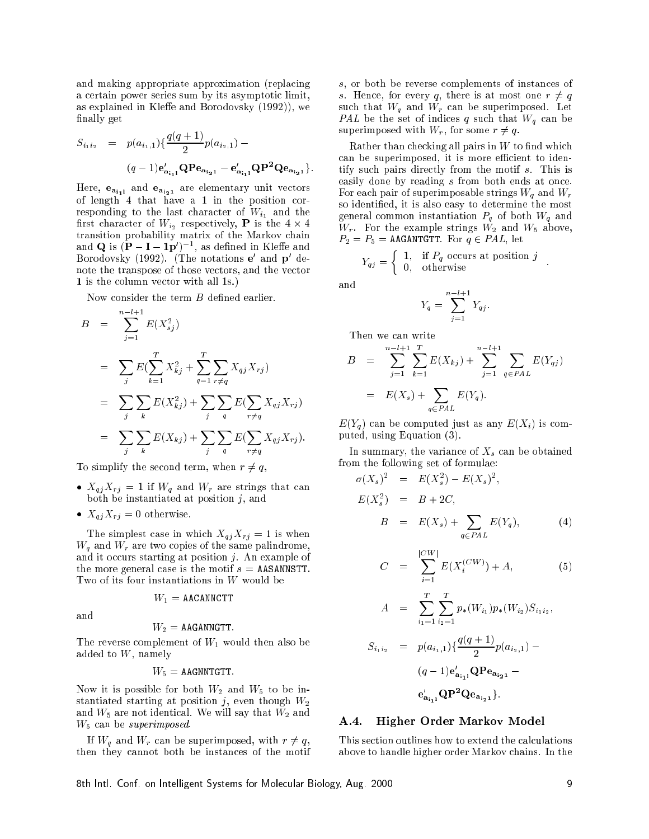and making appropriate approximation (repla
ing a certain power series sum by its asymptotic limit, as explained in Kleffe and Borodovsky  $(1992)$ , we finally get

$$
S_{i_1 i_2} = p(a_{i_1,1}) \{ \frac{q(q+1)}{2} p(a_{i_2,1}) - (q-1) \mathbf{e}'_{\mathbf{a}_{i_1 1}} \mathbf{Q} \mathbf{P} \mathbf{e}_{\mathbf{a}_{i_2 1}} - \mathbf{e}'_{\mathbf{a}_{i_1 1}} \mathbf{Q} \mathbf{P}^2 \mathbf{Q} \mathbf{e}_{\mathbf{a}_{i_2 1}} \}.
$$

Here,  $e_{a_{i_1}}$  and  $e_{a_{i_2}}$  are elementary unit vectors of length 4 that have a 1 in the position orresponding to the last character of  $W_{i_1}$  and the first character of  $W_{i_2}$  respectively, **P** is the 4  $\times$  4 and  $\mathbf{Q}$  is  $(\mathbf{P} - \mathbf{I} - \mathbf{1}\mathbf{p}')^{-1}$ , as defined in Kleffe and Borodovsky (1992). (The notations **e** and **p** denote the transpose of those ve
tors, and the ve
tor 1 is the column vector with all 1s.)

Now consider the term  $B$  defined earlier.

$$
B = \sum_{j=1}^{n-l+1} E(X_{sj}^2)
$$
  
\n
$$
= \sum_{j} E(\sum_{k=1}^{T} X_{kj}^2 + \sum_{q=1}^{T} \sum_{r \neq q} X_{qj} X_{rj})
$$
  
\n
$$
= \sum_{j} \sum_{k} E(X_{kj}^2) + \sum_{j} \sum_{q} E(\sum_{r \neq q} X_{qj} X_{rj})
$$
  
\n
$$
= \sum_{j} \sum_{k} E(X_{kj}) + \sum_{j} \sum_{q} E(\sum_{r \neq q} X_{qj} X_{rj}).
$$

To simplify the second term, when  $r \neq q$ ,

- $X_{q,i}X_{r,i} = 1$  if  $W_q$  and  $W_r$  are strings that can both be instantiated at position  $j$ , and
- $X_{qj}X_{rj} = 0$  otherwise.

The simplest case in which  $X_{qj}X_{rj} = 1$  is when  $W_q$  and  $W_r$  are two copies of the same palindrome, and it occurs starting at position  $j$ . An example of the more general case is the motif  $s =$  AASANNSTT. Two of its four instantiations in W would be

$$
W_1 = \texttt{AACANNCTT}
$$

$$
W_2 = \texttt{AAGANNGTT}.
$$

The reverse complement of  $W_1$  would then also be added to  $W$ , namely

$$
W_5 = \text{AAGNNTGTT}.
$$

Now it is possible for both  $W_2$  and  $W_5$  to be instantiated starting at position j, even though  $W_2$ and  $W_5$  are not identical. We will say that  $W_2$  and  $W_5$  can be superimposed.

If  $W_q$  and  $W_r$  can be superimposed, with  $r \neq q$ , then they annot both be instan
es of the motif

s, or both be reverse complements of instances of s. Hence, for every q, there is at most one  $r \neq q$ such that  $W_q$  and  $W_r$  can be superimposed. Let PAL be the set of indices q such that  $W_q$  can be superimposed with  $W_r$ , for some  $r \neq q$ .

Rather than checking all pairs in  $W$  to find which can be superimposed, it is more efficient to identify su
h pairs dire
tly from the motif s. This is easily done by reading s from both ends at once. For each pair of superimposable strings  $W_q$  and  $W_r$ so identied, it is also easy to determine the most general common instantiation  $P_q$  of both  $W_q$  and  $W_r$ . For the example strings  $W_2$  and  $W_5$  above,  $P_2 = P_5 = \texttt{AAGANTGTT}.$  For  $q \in PAL$ , let

$$
Y_{qj} = \left\{ \begin{array}{ll} 1, & \text{if } P_q \text{ occurs at position } j \\ 0, & \text{otherwise} \end{array} \right. .
$$

and

$$
Y_q = \sum_{j=1}^{n-l+1} Y_{qj}.
$$

Then we an write

$$
B = \sum_{j=1}^{n-l+1} \sum_{k=1}^{T} E(X_{kj}) + \sum_{j=1}^{n-l+1} \sum_{q \in PAL} E(Y_{qj})
$$
  
= 
$$
E(X_s) + \sum_{q \in PAL} E(Y_q).
$$

 $E(Y_a)$  can be computed just as any  $E(X_i)$  is computed, using Equation (3).

In summary, the variance of  $X_s$  can be obtained from the following set of formulae:

$$
\sigma(X_s)^2 = E(X_s^2) - E(X_s)^2,
$$
  
\n
$$
E(X_s^2) = B + 2C,
$$
  
\n
$$
B = E(X_s) + \sum_{q \in PAL} E(Y_q),
$$
\n(4)

$$
C = \sum_{i=1}^{|CW|} E(X_i^{(CW)}) + A,\tag{5}
$$

$$
A = \sum_{i_1=1}^T \sum_{i_2=1}^T p_*(W_{i_1}) p_*(W_{i_2}) S_{i_1 i_2},
$$

$$
S_{i_1 i_2} = p(a_{i_1,1}) \{ \frac{q(q+1)}{2} p(a_{i_2,1}) -
$$

$$
(q-1) \mathbf{e}_{\mathbf{a}_{i_1 1}}' \mathbf{Q} \mathbf{P} \mathbf{e}_{\mathbf{a}_{i_2 1}} -
$$

$$
\mathbf{e}_{\mathbf{a}_{i_1 1}}' \mathbf{Q} \mathbf{P}^2 \mathbf{Q} \mathbf{e}_{\mathbf{a}_{i_2 1}} \}.
$$

#### $A.4.$ Higher Order Markov Model

This section outlines how to extend the calculations above to handle higher order Markov hains. In the

8th Intl. Conf. on Intelligent Systems for Molecular Biology, Aug. 2000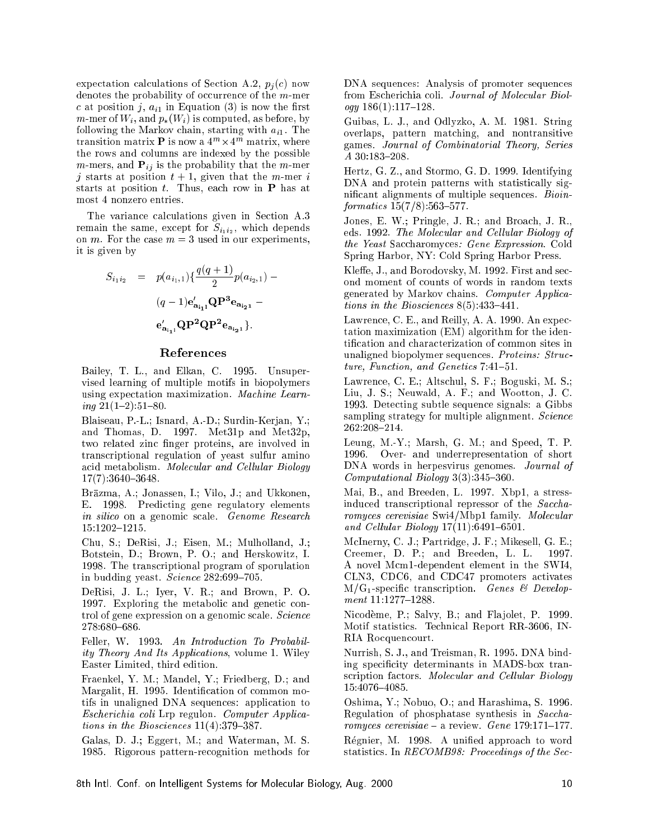expectation calculations of Section A.2,  $p_i(c)$  now denotes the probability of occurrence of the  $m$ -mer c at position j,  $a_{i1}$  in Equation (3) is now the first m-mer of  $W_i$ , and  $p_*(W_i)$  is computed, as before, by following the Markov chain, starting with  $a_{i1}$ . The transition matrix  ${\bf P}$  is now a  $4^m \times 4^m$  matrix, where the rows and olumns are indexed by the possible *m*-mers, and  $P_{ij}$  is the probability that the *m*-mer j starts at position  $t + 1$ , given that the m-mer i starts at position  $t$ . Thus, each row in **P** has at most 4 nonzero entries.

The variance calculations given in Section A.3 remain the same, except for  $S_{i_1 i_2}$ , which depends on *m*. For the case  $m = 3$  used in our experiments, it is given by

$$
S_{i_1 i_2} = p(a_{i_1,1}) \{ \frac{q(q+1)}{2} p(a_{i_2,1}) - (q-1) e'_{a_{i_1,1}} \mathbf{Q} \mathbf{P}^3 e_{a_{i_2,1}} -
$$

$$
e'_{a_{i_1,1}} \mathbf{Q} \mathbf{P}^2 \mathbf{Q} \mathbf{P}^2 e_{a_{i_2,1}} \}.
$$

#### Referen
es

Bailey, T. L., and Elkan, C. 1995. Unsupervised learning of multiple motifs in biopolymers using expectation maximization. Machine Learning  $21(1{-}2):51{-}80$ .

Blaiseau, P.-L.; Isnard, A.-D.; Surdin-Kerjan, Y.; and Thomas, D. 1997. Met31p and Met32p, two related zinc finger proteins, are involved in trans
riptional regulation of yeast sulfur amino acid metabolism. Molecular and Cellular Biology 17(7):3640-3648.

Brazma, A.; Jonassen, I.; Vilo, J.; and Ukkonen, E. 1998. Predicting gene regulatory elements in silico on a genomic scale. Genome Research 15:1202-1215.

Chu, S.; DeRisi, J.; Eisen, M.; Mulholland, J.; Botstein, D.; Brown, P. O.; and Herskowitz, I. 1998. The trans
riptional program of sporulation in budding yeast. Science 282:699-705.

DeRisi, J. L.; Iyer, V. R.; and Brown, P. O. 1997. Exploring the metabolic and genetic control of gene expression on a genomic scale. Science

Feller, W. 1993. An Introduction To Probability Theory And Its Appli
ations, volume 1. Wiley Easter Limited, third edition.

Fraenkel, Y. M.; Mandel, Y.; Friedberg, D.; and Margalit, H. 1995. Identification of common motifs in unaligned DNA sequen
es: appli
ation to Es
heri
hia oli Lrp regulon. Computer Appli
ations in the Biosciences  $11(4)$ : 379-387.

Galas, D. J.; Eggert, M.; and Waterman, M. S. 1985. Rigorous pattern-re
ognition methods for DNA sequences: Analysis of promoter sequences from Escherichia coli. Journal of Molecular Biol $ogy 186(1):117–128.$ 

Guibas, L. J., and Odlyzko, A. M. 1981. String overlaps, pattern mat
hing, and nontransitive games. Journal of Combinatorial Theory, Series A 30:183-208.

Hertz, G. Z., and Stormo, G. D. 1999. Identifying DNA and protein patterns with statistically significant alignments of multiple sequences. *Bioin* $formatics 15(7/8): 563-577.$ 

Jones, E. W.; Pringle, J. R.; and Broa
h, J. R., eds. 1992. The Molecular and Cellular Biology of the Yeast Saccharomyces: Gene Expression. Cold Spring Harbor, NY: Cold Spring Harbor Press.

Kleffe, J., and Borodovsky, M. 1992. First and second moment of ounts of words in random texts generated by Markov hains. Computer Appli
ations in the Biosciences  $8(5)$  433-441.

Lawrence, C. E., and Reilly, A. A. 1990. An expectation maximization (EM) algorithm for the identification and characterization of common sites in unaligned biopolymer sequences. Proteins: Structure, Function, and Genetics 7:41-51.

Lawren
e, C. E.; Alts
hul, S. F.; Boguski, M. S.; Liu, J. S.; Neuwald, A. F.; and Wootton, J. C. 1993. Dete
ting subtle sequen
e signals: a Gibbs sampling strategy for multiple alignment. Science 262:208-214.

Leung, M.-Y.; Marsh, G. M.; and Speed, T. P. 1996. Over- and underrepresentation of short DNA words in herpesvirus genomes. Journal of  $Computational Biology 3(3):345–360.$ 

Mai, B., and Breeden, L. 1997. Xbp1, a stressinduced transcriptional repressor of the Saccharomyces cerevisiae Swi4/Mbp1 family. Molecular and Cellular Biology  $17(11):6491{-}6501$ .

M
Inerny, C. J.; Partridge, J. F.; Mikesell, G. E.; Creemer, D. P.; and Breeden, L. L. -1997. A novel M
m1-dependent element in the SWI4, CLN3, CDC6, and CDC47 promoters a
tivates  $M/G_1$ -specific transcription. Genes & Develop $ment$  11:1277-1288.

Nicodème, P.; Salvy, B.; and Flajolet, P. 1999. Motif statistics. Technical Report RR-3606, IN-RIA Rocquencourt.

Nurrish, S. J., and Treisman, R. 1995. DNA binding specificity determinants in MADS-box transcription factors. Molecular and Cellular Biology 15:4076-4085.

Oshima, Y.; Nobuo, O.; and Harashima, S. 1996. Regulation of phosphatase synthesis in Saccharomyces cerevisiae  $-$  a review. Gene 179:171-177.

Régnier, M. 1998. A unified approach to word statistics. In *RECOMB98*: Proceedings of the Sec